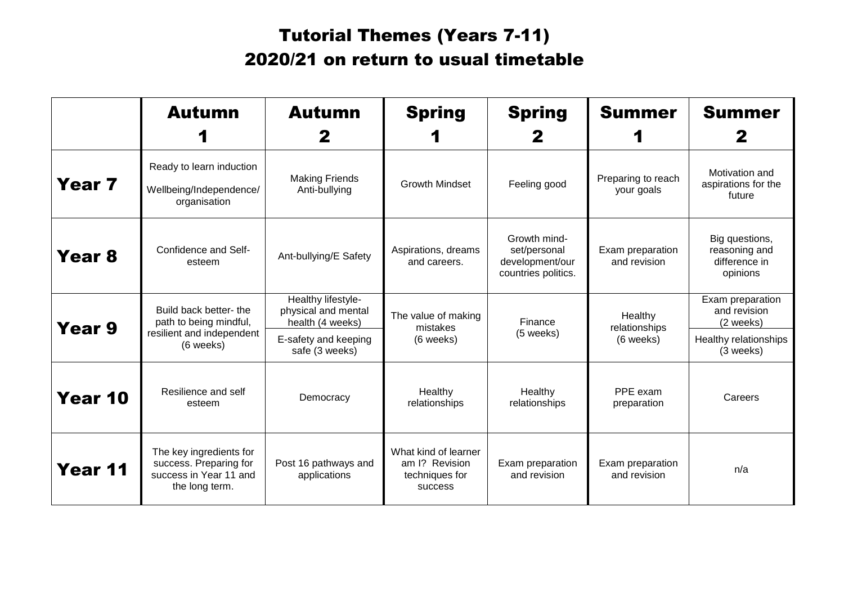## Tutorial Themes (Years 7-11) 2020/21 on return to usual timetable

|         | <b>Autumn</b>                                                                                 | <b>Autumn</b>                                                                                           | <b>Spring</b>                                                              | <b>Spring</b>                                                          | <b>Summer</b>                         | <b>Summer</b>                                                                       |
|---------|-----------------------------------------------------------------------------------------------|---------------------------------------------------------------------------------------------------------|----------------------------------------------------------------------------|------------------------------------------------------------------------|---------------------------------------|-------------------------------------------------------------------------------------|
| Year 7  | Ready to learn induction<br>Wellbeing/Independence/<br>organisation                           | <b>Making Friends</b><br>Anti-bullying                                                                  | <b>Growth Mindset</b>                                                      | Feeling good                                                           | Preparing to reach<br>your goals      | Motivation and<br>aspirations for the<br>future                                     |
| Year 8  | Confidence and Self-<br>esteem                                                                | Ant-bullying/E Safety                                                                                   | Aspirations, dreams<br>and careers.                                        | Growth mind-<br>set/personal<br>development/our<br>countries politics. | Exam preparation<br>and revision      | Big questions,<br>reasoning and<br>difference in<br>opinions                        |
| Year 9  | Build back better- the<br>path to being mindful,<br>resilient and independent<br>(6 weeks)    | Healthy lifestyle-<br>physical and mental<br>health (4 weeks)<br>E-safety and keeping<br>safe (3 weeks) | The value of making<br>mistakes<br>(6 weeks)                               | Finance<br>(5 weeks)                                                   | Healthy<br>relationships<br>(6 weeks) | Exam preparation<br>and revision<br>(2 weeks)<br>Healthy relationships<br>(3 weeks) |
| Year 10 | Resilience and self<br>esteem                                                                 | Democracy                                                                                               | Healthy<br>relationships                                                   | Healthy<br>relationships                                               | PPE exam<br>preparation               | Careers                                                                             |
| Year 11 | The key ingredients for<br>success. Preparing for<br>success in Year 11 and<br>the long term. | Post 16 pathways and<br>applications                                                                    | What kind of learner<br>am I? Revision<br>techniques for<br><b>SUCCESS</b> | Exam preparation<br>and revision                                       | Exam preparation<br>and revision      | n/a                                                                                 |